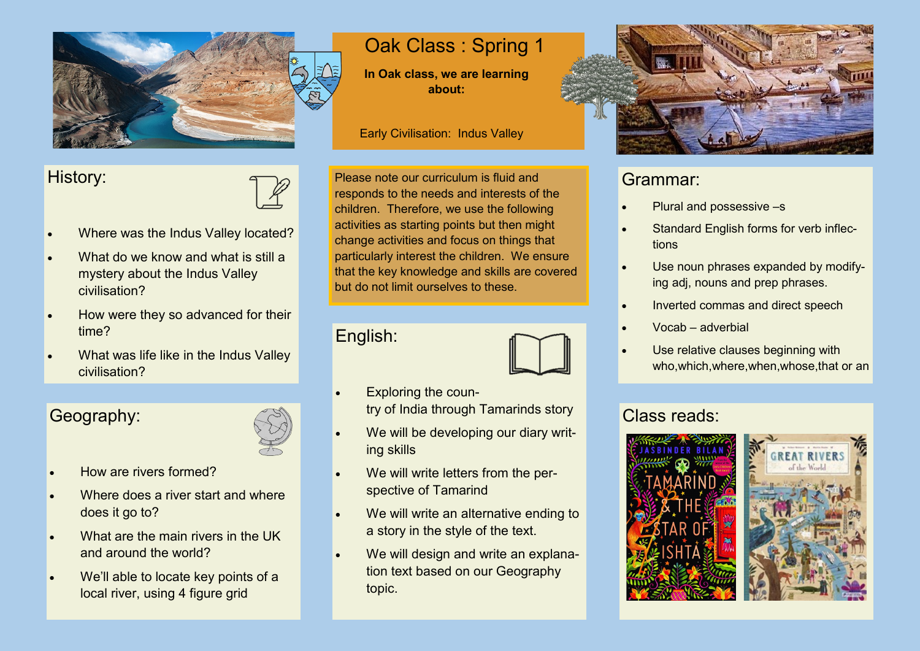

### History:



- Where was the Indus Valley located?
- What do we know and what is still a mystery about the Indus Valley civilisation?
- How were they so advanced for their time?
- What was life like in the Indus Valley civilisation?

## Geography:



- How are rivers formed?
- Where does a river start and where does it go to?
- What are the main rivers in the UK and around the world?
- We'll able to locate key points of a local river, using 4 figure grid

# Oak Class : Spring 1

**In Oak class, we are learning about:**

Early Civilisation: Indus Valley

Please note our curriculum is fluid and responds to the needs and interests of the children. Therefore, we use the following activities as starting points but then might change activities and focus on things that particularly interest the children. We ensure that the key knowledge and skills are covered but do not limit ourselves to these.

#### English:



- Exploring the country of India through Tamarinds story
- We will be developing our diary writing skills
- We will write letters from the perspective of Tamarind
- We will write an alternative ending to a story in the style of the text.
- We will design and write an explanation text based on our Geography topic.



## Grammar:

- Plural and possessive –s
- Standard English forms for verb inflections
- Use noun phrases expanded by modifying adj, nouns and prep phrases.
- Inverted commas and direct speech
- Vocab adverbial
- Use relative clauses beginning with who,which,where,when,whose,that or an

## Class reads: